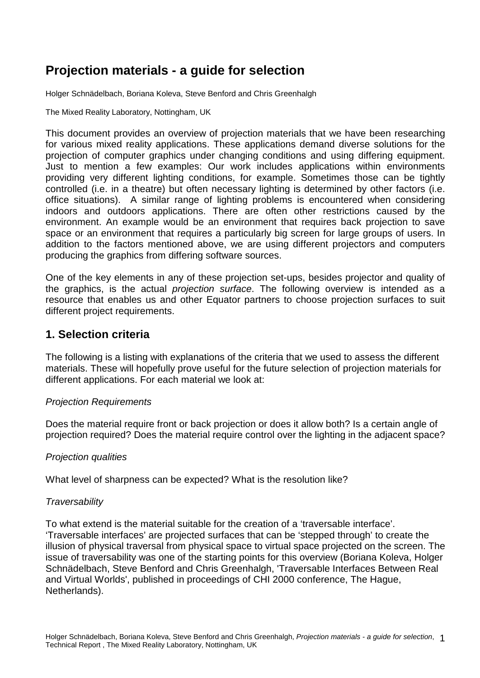## **Projection materials - a guide for selection**

Holger Schnädelbach, Boriana Koleva, Steve Benford and Chris Greenhalgh

The Mixed Reality Laboratory, Nottingham, UK

This document provides an overview of projection materials that we have been researching for various mixed reality applications. These applications demand diverse solutions for the projection of computer graphics under changing conditions and using differing equipment. Just to mention a few examples: Our work includes applications within environments providing very different lighting conditions, for example. Sometimes those can be tightly controlled (i.e. in a theatre) but often necessary lighting is determined by other factors (i.e. office situations). A similar range of lighting problems is encountered when considering indoors and outdoors applications. There are often other restrictions caused by the environment. An example would be an environment that requires back projection to save space or an environment that requires a particularly big screen for large groups of users. In addition to the factors mentioned above, we are using different projectors and computers producing the graphics from differing software sources.

One of the key elements in any of these projection set-ups, besides projector and quality of the graphics, is the actual projection surface. The following overview is intended as a resource that enables us and other Equator partners to choose projection surfaces to suit different project requirements.

## **1. Selection criteria**

The following is a listing with explanations of the criteria that we used to assess the different materials. These will hopefully prove useful for the future selection of projection materials for different applications. For each material we look at:

#### Projection Requirements

Does the material require front or back projection or does it allow both? Is a certain angle of projection required? Does the material require control over the lighting in the adjacent space?

#### Projection qualities

What level of sharpness can be expected? What is the resolution like?

#### **Traversability**

To what extend is the material suitable for the creation of a 'traversable interface'. 'Traversable interfaces' are projected surfaces that can be 'stepped through' to create the illusion of physical traversal from physical space to virtual space projected on the screen. The issue of traversability was one of the starting points for this overview (Boriana Koleva, Holger Schnädelbach, Steve Benford and Chris Greenhalgh, 'Traversable Interfaces Between Real and Virtual Worlds', published in proceedings of CHI 2000 conference, The Hague, Netherlands).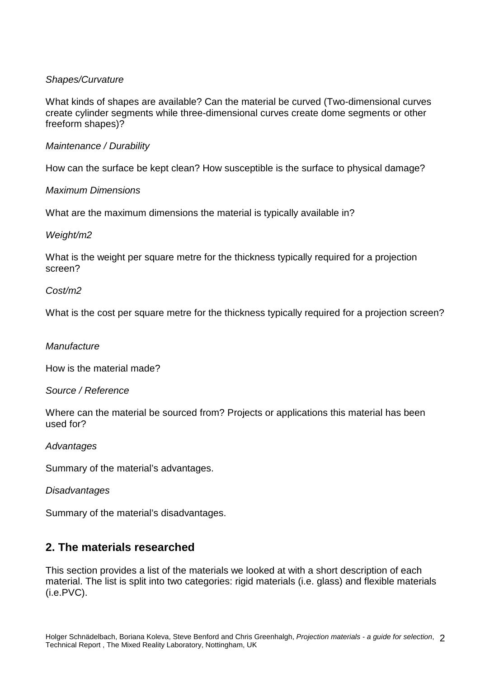#### Shapes/Curvature

What kinds of shapes are available? Can the material be curved (Two-dimensional curves create cylinder segments while three-dimensional curves create dome segments or other freeform shapes)?

#### Maintenance / Durability

How can the surface be kept clean? How susceptible is the surface to physical damage?

#### Maximum Dimensions

What are the maximum dimensions the material is typically available in?

#### Weight/m2

What is the weight per square metre for the thickness typically required for a projection screen?

#### Cost/m2

What is the cost per square metre for the thickness typically required for a projection screen?

#### **Manufacture**

How is the material made?

#### Source / Reference

Where can the material be sourced from? Projects or applications this material has been used for?

#### **Advantages**

Summary of the material's advantages.

#### **Disadvantages**

Summary of the material's disadvantages.

## **2. The materials researched**

This section provides a list of the materials we looked at with a short description of each material. The list is split into two categories: rigid materials (i.e. glass) and flexible materials (i.e.PVC).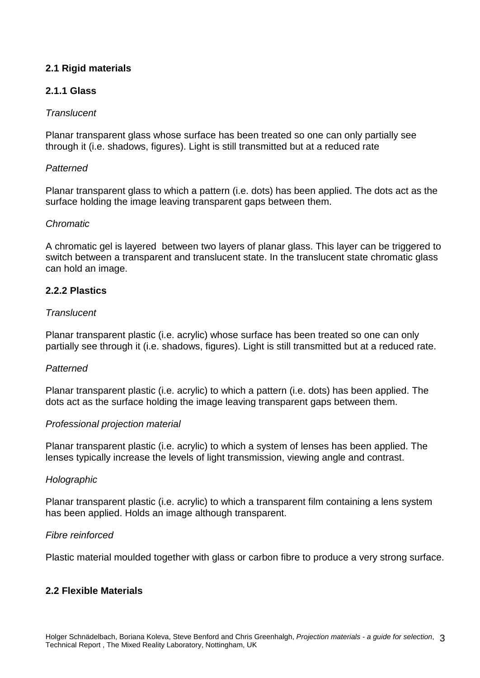### **2.1 Rigid materials**

#### **2.1.1 Glass**

#### **Translucent**

Planar transparent glass whose surface has been treated so one can only partially see through it (i.e. shadows, figures). Light is still transmitted but at a reduced rate

#### **Patterned**

Planar transparent glass to which a pattern (i.e. dots) has been applied. The dots act as the surface holding the image leaving transparent gaps between them.

#### Chromatic

A chromatic gel is layered between two layers of planar glass. This layer can be triggered to switch between a transparent and translucent state. In the translucent state chromatic glass can hold an image.

#### **2.2.2 Plastics**

#### **Translucent**

Planar transparent plastic (i.e. acrylic) whose surface has been treated so one can only partially see through it (i.e. shadows, figures). Light is still transmitted but at a reduced rate.

#### **Patterned**

Planar transparent plastic (i.e. acrylic) to which a pattern (i.e. dots) has been applied. The dots act as the surface holding the image leaving transparent gaps between them.

#### Professional projection material

Planar transparent plastic (i.e. acrylic) to which a system of lenses has been applied. The lenses typically increase the levels of light transmission, viewing angle and contrast.

#### **Holographic**

Planar transparent plastic (i.e. acrylic) to which a transparent film containing a lens system has been applied. Holds an image although transparent.

#### Fibre reinforced

Plastic material moulded together with glass or carbon fibre to produce a very strong surface.

#### **2.2 Flexible Materials**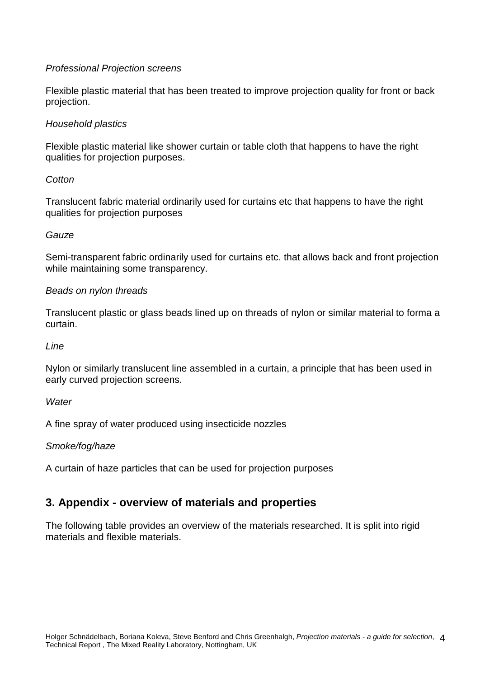#### Professional Projection screens

Flexible plastic material that has been treated to improve projection quality for front or back projection.

#### Household plastics

Flexible plastic material like shower curtain or table cloth that happens to have the right qualities for projection purposes.

#### **Cotton**

Translucent fabric material ordinarily used for curtains etc that happens to have the right qualities for projection purposes

#### **Gauze**

Semi-transparent fabric ordinarily used for curtains etc. that allows back and front projection while maintaining some transparency.

#### Beads on nylon threads

Translucent plastic or glass beads lined up on threads of nylon or similar material to forma a curtain.

#### Line

Nylon or similarly translucent line assembled in a curtain, a principle that has been used in early curved projection screens.

#### **Water**

A fine spray of water produced using insecticide nozzles

#### Smoke/fog/haze

A curtain of haze particles that can be used for projection purposes

## **3. Appendix - overview of materials and properties**

The following table provides an overview of the materials researched. It is split into rigid materials and flexible materials.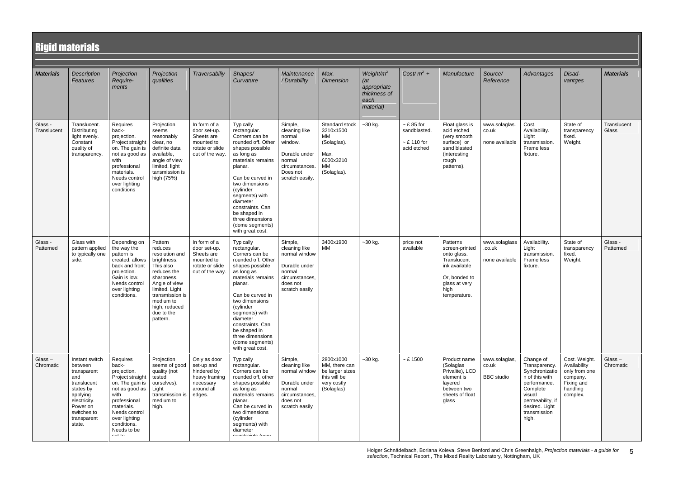5

| <b>Rigid materials</b> |                                                                                                                                                             |                                                                                                                                                                                                             |                                                                                                                                                                                                             |                                                                                                 |                                                                                                                                                                                                                                                                                                                    |                                                                                                                           |                                                                                            |                                                                                  |                                                                  |                                                                                                                                     |                                             |                                                                                                                                                                     |                                                                                                  |                        |
|------------------------|-------------------------------------------------------------------------------------------------------------------------------------------------------------|-------------------------------------------------------------------------------------------------------------------------------------------------------------------------------------------------------------|-------------------------------------------------------------------------------------------------------------------------------------------------------------------------------------------------------------|-------------------------------------------------------------------------------------------------|--------------------------------------------------------------------------------------------------------------------------------------------------------------------------------------------------------------------------------------------------------------------------------------------------------------------|---------------------------------------------------------------------------------------------------------------------------|--------------------------------------------------------------------------------------------|----------------------------------------------------------------------------------|------------------------------------------------------------------|-------------------------------------------------------------------------------------------------------------------------------------|---------------------------------------------|---------------------------------------------------------------------------------------------------------------------------------------------------------------------|--------------------------------------------------------------------------------------------------|------------------------|
| <b>Materials</b>       | <b>Description</b><br>Features                                                                                                                              | Projection<br>Require-<br>ments                                                                                                                                                                             | Projection<br>qualities                                                                                                                                                                                     | Traversabiliy                                                                                   | Shapes/<br>Curvature                                                                                                                                                                                                                                                                                               | Maintenance<br>/ Durability                                                                                               | Max.<br><b>Dimension</b>                                                                   | Weight/m <sup>2</sup><br>(at<br>appropriate<br>thickness of<br>each<br>material) | Cost/ $m^2$ +                                                    | Manufacture                                                                                                                         | Source/<br>Reference                        | Advantages                                                                                                                                                          | Disad-<br>vantges                                                                                | <b>Materials</b>       |
| Glass -<br>Translucent | Translucent.<br>Distributing<br>light evenly.<br>Constant<br>quality of<br>transparency.                                                                    | Requires<br>back-<br>projection.<br>Project straight<br>on. The gain is<br>not as good as<br>with<br>professional<br>materials.<br>Needs control<br>over lighting<br>conditions                             | Projection<br>seems<br>reasonably<br>clear, no<br>definite data<br>available,<br>angle of view<br>limited, light<br>tansmission is<br>high (75%)                                                            | In form of a<br>door set-up.<br>Sheets are<br>mounted to<br>rotate or slide<br>out of the way.  | Typically<br>rectangular.<br>Corners can be<br>rounded off. Other<br>shapes possible<br>as long as<br>materials remains<br>planar.<br>Can be curved in<br>two dimensions<br>(cylinder<br>segments) with<br>diameter<br>constraints. Can<br>be shaped in<br>three dimensions<br>(dome segments)<br>with great cost. | Simple,<br>cleaning like<br>normal<br>window.<br>Durable under<br>normal<br>circumstances.<br>Does not<br>scratch easily. | Standard stock<br>3210x1500<br>MM<br>(Solaglas).<br>Max.<br>6000x3210<br>MM<br>(Solaglas). | $-30$ kg.                                                                        | $~ $ £ 85 for<br>sandblasted.<br>$\sim$ £ 110 for<br>acid etched | Float glass is<br>acid etched<br>(very smooth<br>surface) or<br>sand blasted<br>(interesting<br>rough<br>patterns).                 | www.solaglas.<br>co.uk<br>none available    | Cost.<br>Availability.<br>Light<br>transmission<br>Frame less<br>fixture.                                                                                           | State of<br>transparency<br>fixed.<br>Weight.                                                    | Translucent<br>Glass   |
| Glass -<br>Patterned   | Glass with<br>pattern applied<br>to typically one<br>side.                                                                                                  | Depending on<br>the way the<br>pattern is<br>created: allows<br>back and front<br>projection.<br>Gain is low.<br>Needs control<br>over lighting<br>conditions.                                              | Pattern<br>reduces<br>resolution and<br>brightness.<br>This also<br>reduces the<br>sharpness.<br>Angle of view<br>limited. Light<br>transmission is<br>medium to<br>high, reduced<br>due to the<br>pattern. | In form of a<br>door set-up.<br>Sheets are<br>mounted to<br>rotate or slide<br>out of the way.  | Typically<br>rectangular.<br>Corners can be<br>rounded off. Other<br>shapes possible<br>as long as<br>materials remains<br>planar.<br>Can be curved in<br>two dimensions<br>(cylinder<br>segments) with<br>diameter<br>constraints. Can<br>be shaped in<br>three dimensions<br>(dome segments)<br>with great cost. | Simple,<br>cleaning like<br>normal window<br>Durable under<br>normal<br>circumstances,<br>does not<br>scratch easily      | 3400x1900<br>MM                                                                            | $-30$ kg.                                                                        | price not<br>available                                           | Patterns<br>screen-printed<br>onto glass.<br>Translucent<br>ink available<br>Or, bonded to<br>glass at very<br>high<br>temperature. | www.solaglass<br>.co.uk<br>none available   | Availability.<br>Light<br>transmission.<br>Frame less<br>fixture.                                                                                                   | State of<br>transparency<br>fixed.<br>Weight.                                                    | Glass -<br>Patterned   |
| Glass-<br>Chromatic    | Instant switch<br>between<br>transparent<br>and<br>translucent<br>states by<br>applying<br>electricity.<br>Power on<br>switches to<br>transparent<br>state. | Requires<br>back-<br>projection.<br>Project straight<br>on. The gain is<br>not as good as<br>with<br>professional<br>materials.<br>Needs control<br>over lighting<br>conditions.<br>Needs to be<br>$ext{f}$ | Projection<br>seems of good<br>quality (not<br>tested<br>ourselves).<br>Light<br>transmission is<br>medium to<br>high.                                                                                      | Only as door<br>set-up and<br>hindered by<br>heavy framing<br>necessary<br>around all<br>edges. | <b>Typically</b><br>rectangular.<br>Corners can be<br>rounded off, other<br>shapes possible<br>as long as<br>materials remains<br>planar.<br>Can be curved in<br>two dimensions<br>(cylinder<br>segments) with<br>diameter<br>conctrainte fuoru                                                                    | Simple,<br>cleaning like<br>normal window<br>Durable under<br>normal<br>circumstances,<br>does not<br>scratch easily      | 2800x1000<br>MM, there can<br>be larger sizes<br>this will be<br>very costly<br>(Solaglas) | $-30$ kg.                                                                        | ~500                                                             | Product name<br>(Solaglas<br>Privalite), LCD<br>element is<br>layered<br>between two<br>sheets of float<br>glass                    | www.solaglas,<br>co.uk<br><b>BBC</b> studio | Change of<br>Transparency.<br>Synchronizatio<br>n of this with<br>performance.<br>Complete<br>visual<br>permeability, if<br>desired. Light<br>transmission<br>high. | Cost. Weight.<br>Availability<br>only from one<br>company.<br>Fixing and<br>handling<br>complex. | Glass $-$<br>Chromatic |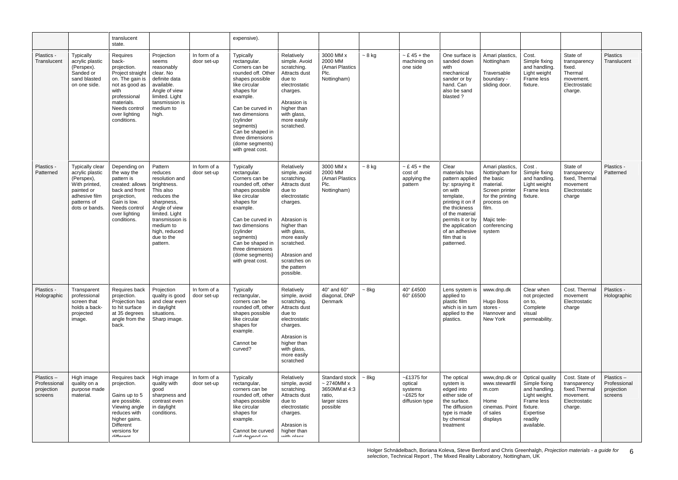|                                                    |                                                                                                                                   | translucent<br>state.                                                                                                                                                            |                                                                                                                                                                                                             |                             | expensive).                                                                                                                                                                                                                                                                           |                                                                                                                                                                                                                                          |                                                                                          |             |                                                                         |                                                                                                                                                                                                                                      |                                                                                                                                                                   |                                                                                                                                    |                                                                                         |                                                    |
|----------------------------------------------------|-----------------------------------------------------------------------------------------------------------------------------------|----------------------------------------------------------------------------------------------------------------------------------------------------------------------------------|-------------------------------------------------------------------------------------------------------------------------------------------------------------------------------------------------------------|-----------------------------|---------------------------------------------------------------------------------------------------------------------------------------------------------------------------------------------------------------------------------------------------------------------------------------|------------------------------------------------------------------------------------------------------------------------------------------------------------------------------------------------------------------------------------------|------------------------------------------------------------------------------------------|-------------|-------------------------------------------------------------------------|--------------------------------------------------------------------------------------------------------------------------------------------------------------------------------------------------------------------------------------|-------------------------------------------------------------------------------------------------------------------------------------------------------------------|------------------------------------------------------------------------------------------------------------------------------------|-----------------------------------------------------------------------------------------|----------------------------------------------------|
| Plastics -<br>Translucent                          | <b>Typically</b><br>acrylic plastic<br>(Perspex).<br>Sanded or<br>sand blasted<br>on one side.                                    | Requires<br>back-<br>projection.<br>Project straight<br>on. The gain is<br>not as good as<br>with<br>professional<br>materials.<br>Needs control<br>over lighting<br>conditions. | Projection<br>seems<br>reasonably<br>clear. No<br>definite data<br>available.<br>Angle of view<br>limited. Light<br>tansmission is<br>medium to<br>high.                                                    | In form of a<br>door set-up | <b>Typically</b><br>rectangular.<br>Corners can be<br>rounded off. Other<br>shapes possible<br>like circular<br>shapes for<br>example.<br>Can be curved in<br>two dimensions<br>(cylinder<br>segments)<br>Can be shaped in<br>three dimensions<br>(dome segments)<br>with great cost. | Relatively<br>simple. Avoid<br>scratching.<br>Attracts dust<br>due to<br>electrostatic<br>charges.<br>Abrasion is<br>higher than<br>with glass,<br>more easily<br>scratched.                                                             | 3000 MM x<br>2000 MM<br>(Amari Plastics<br>Plc.<br>Nottingham)                           | $~5$ kg     | $\sim$ £ 45 + the<br>machining on<br>one side                           | One surface is<br>sanded down<br>with<br>mechanical<br>sander or by<br>hand. Can<br>also be sand<br>blasted ?                                                                                                                        | Amari plastics,<br>Nottingham<br>Traversable<br>boundary -<br>sliding door.                                                                                       | Cost.<br>Simple fixing<br>and handling.<br>Light weight<br>Frame less<br>fixture.                                                  | State of<br>transparency<br>fixed.<br>Thermal<br>movement.<br>Electrostatic<br>charge.  | <b>Plastics</b><br>Translucent                     |
| Plastics -<br>Patterned                            | Typically clear<br>acrylic plastic<br>(Perspex),<br>With printed,<br>painted or<br>adhesive film<br>patterns of<br>dots or bands. | Depending on<br>the way the<br>pattern is<br>created: allows<br>back and front<br>projection,<br>Gain is low.<br>Needs control<br>over lighting<br>conditions.                   | Pattern<br>reduces<br>resolution and<br>brightness.<br>This also<br>reduces the<br>sharpness,<br>Angle of view<br>limited. Light<br>transmission is<br>medium to<br>high, reduced<br>due to the<br>pattern. | In form of a<br>door set-up | Typically<br>rectangular.<br>Corners can be<br>rounded off, other<br>shapes possible<br>like circular<br>shapes for<br>example.<br>Can be curved in<br>two dimensions<br>(cylinder<br>segments)<br>Can be shaped in<br>three dimensions<br>(dome segments)<br>with great cost.        | Relatively<br>simple, avoid<br>scratching.<br>Attracts dust<br>due to<br>electrostatic<br>charges.<br>Abrasion is<br>higher than<br>with glass,<br>more easily<br>scratched.<br>Abrasion and<br>scratches on<br>the pattern<br>possible. | 3000 MM x<br>2000 MM<br>(Amari Plastics<br>Plc.<br>Nottingham)                           | $~5$ kg     | $\sim$ £ 45 + the<br>cost of<br>applying the<br>pattern                 | Clear<br>materials has<br>pattern applied<br>by: spraying it<br>on with<br>template,<br>printing it on if<br>the thickness<br>of the material<br>permits it or by<br>the application<br>of an adhesive<br>film that is<br>patterned. | Amari plastics,<br>Nottingham for<br>the basic<br>material.<br>Screen printer<br>for the printing<br>process on<br>film.<br>Majic tele-<br>conferencing<br>system | Cost.<br>Simple fixing<br>and handling.<br>Light weight<br>Frame less<br>fixture.                                                  | State of<br>transparency<br>fixed, Thermal<br>movement<br>Electrostatic<br>charge       | Plastics -<br>Patterned                            |
| Plastics -<br>Holographic                          | Transparent<br>professional<br>screen that<br>holds a back-<br>projected<br>image.                                                | Requires back<br>projection.<br>Projection has<br>to hit surface<br>at 35 degrees<br>angle from the<br>back.                                                                     | Projection<br>quality is good<br>and clear even<br>in daylight<br>situations.<br>Sharp image.                                                                                                               | In form of a<br>door set-up | <b>Typically</b><br>rectangular,<br>corners can be<br>rounded off, other<br>shapes possible<br>like circular<br>shapes for<br>example.<br>Cannot be<br>curved?                                                                                                                        | Relatively<br>simple, avoid<br>scratching.<br>Attracts dust<br>due to<br>electrostatic<br>charges.<br>Abrasion is<br>higher than<br>with glass,<br>more easily<br>scratched                                                              | 40" and 60"<br>diagonal, DNP<br>Denmark                                                  | $~5$ 8kg    | 40" £4500<br>60" £6500                                                  | Lens system is<br>applied to<br>plastic film<br>which is in turn<br>applied to the<br>plastics.                                                                                                                                      | www.dnp.dk<br>Hugo Boss<br>stores -<br>Hannover and<br>New York                                                                                                   | Clear when<br>not projected<br>on to,<br>Complete<br>visual<br>permeability.                                                       | Cost. Thermal<br>movement<br>Electrostatic<br>charge                                    | Plastics -<br>Holographic                          |
| Plastics-<br>Professional<br>projection<br>screens | High image<br>quality on a<br>purpose made<br>material.                                                                           | Requires back<br>projection.<br>Gains up to 5<br>are possible.<br>Viewing angle<br>reduces with<br>higher gains.<br><b>Different</b><br>versions for<br>difforont                | High image<br>quality with<br>good<br>sharpness and<br>contrast even<br>in daylight<br>conditions.                                                                                                          | In form of a<br>door set-up | <b>Typically</b><br>rectangular,<br>corners can be<br>rounded off, other<br>shapes possible<br>like circular<br>shapes for<br>example.<br>Cannot be curved<br>Assill depend on                                                                                                        | Relatively<br>simple, avoid<br>scratching.<br>Attracts dust<br>due to<br>electrostatic<br>charges.<br>Abrasion is<br>higher than<br>with aloon                                                                                           | Standard stock<br>$\sim$ 2740MM x<br>3650MM at 4:3<br>ratio,<br>larger sizes<br>possible | $~\sim$ 8kg | $~$ -£1375 for<br>optical<br>systems<br>$~$ -£625 for<br>diffusion type | The optical<br>system is<br>edged into<br>either side of<br>the surface.<br>The diffusion<br>type is made<br>by chemical<br>treatment                                                                                                | www,dnp.dk or<br>www.stewartfil<br>m.com<br>Home<br>cinemas. Point<br>of sales<br>displays                                                                        | Optical quality<br>Simple fixing<br>and handling.<br>Light weight.<br>Frame less<br>fixture.<br>Expertise<br>readily<br>available. | Cost. State of<br>transparency<br>fixed.Therma<br>movement.<br>Electrostatic<br>charge. | Plastics-<br>Professional<br>projection<br>screens |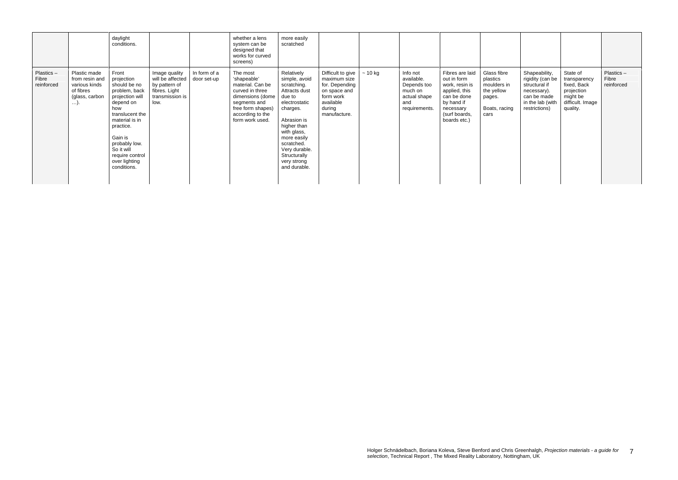|                                  |                                                                                      | daylight<br>conditions.                                                                                                                                                                                                                    |                                                                                                |                             | whether a lens<br>system can be<br>designed that<br>works for curved<br>screens)                                                                               | more easily<br>scratched                                                                                                                                                                                                                     |                                                                                                                         |              |                                                                                          |                                                                                                                                              |                                                                                         |                                                                                                                       |                                                                                                   |                                  |
|----------------------------------|--------------------------------------------------------------------------------------|--------------------------------------------------------------------------------------------------------------------------------------------------------------------------------------------------------------------------------------------|------------------------------------------------------------------------------------------------|-----------------------------|----------------------------------------------------------------------------------------------------------------------------------------------------------------|----------------------------------------------------------------------------------------------------------------------------------------------------------------------------------------------------------------------------------------------|-------------------------------------------------------------------------------------------------------------------------|--------------|------------------------------------------------------------------------------------------|----------------------------------------------------------------------------------------------------------------------------------------------|-----------------------------------------------------------------------------------------|-----------------------------------------------------------------------------------------------------------------------|---------------------------------------------------------------------------------------------------|----------------------------------|
| Plastics-<br>Fibre<br>reinforced | Plastic made<br>from resin and<br>various kinds<br>of fibres<br>(glass, carbon<br>). | Front<br>projection<br>should be no<br>problem, back<br>projection will<br>depend on<br>how<br>translucent the<br>material is in<br>practice.<br>Gain is<br>probably low.<br>So it will<br>require control<br>over lighting<br>conditions. | Image quality<br>will be affected<br>by pattern of<br>fibres. Light<br>transmission is<br>low. | In form of a<br>door set-up | The most<br>'shapeable'<br>material. Can be<br>curved in three<br>dimensions (dome<br>segments and<br>free form shapes)<br>according to the<br>form work used. | Relatively<br>simple, avoid<br>scratching.<br>Attracts dust<br>due to<br>electrostatic<br>charges.<br>Abrasion is<br>higher than<br>with glass,<br>more easily<br>scratched.<br>Very durable.<br>Structurally<br>very strong<br>and durable. | Difficult to give<br>maximum size<br>for. Depending<br>on space and<br>form work<br>available<br>during<br>manufacture. | $\sim$ 10 kg | Info not<br>available.<br>Depends too<br>much on<br>actual shape<br>and<br>requirements. | Fibres are laid<br>out in form<br>work, resin is<br>applied, this<br>can be done<br>by hand if<br>necessary<br>(surf boards,<br>boards etc.) | Glass fibre<br>plastics<br>moulders in<br>the yellow<br>pages.<br>Boats, racing<br>cars | Shapeability,<br>rigidity (can be<br>structural if<br>necessary).<br>can be made<br>in the lab (with<br>restrictions) | State of<br>transparency<br>fixed, Back<br>projection<br>might be<br>difficult. Image<br>quality. | Plastics-<br>Fibre<br>reinforced |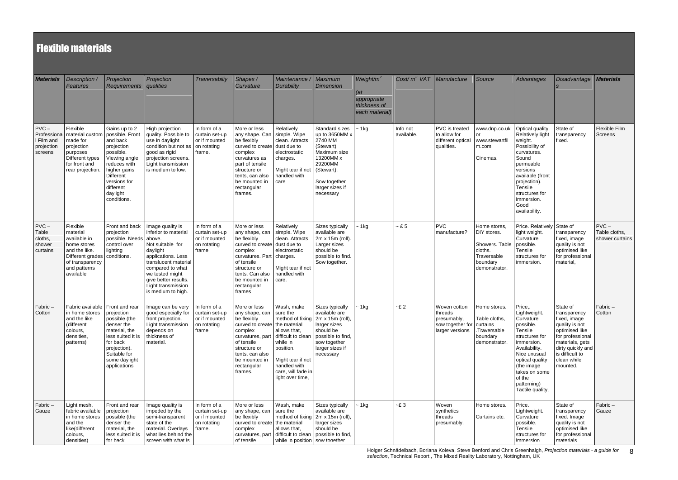# **Flexible materials**

| <b>Materials</b>                                              | Description /<br>Features                                                                                                                              | Projection<br>Requirements qualities                                                                                                                                              | Projection                                                                                                                                                                                                                        | Traversabiliy                                                            | Shapes /<br>Curvature                                                                                                                                                                                                     | Maintenance /<br>Durability                                                                                                                                                                                      | <b>Maximum</b><br><b>Dimension</b>                                                                                                                             | Weight/ $m^2$<br>(at<br>appropriate<br>thickness of<br>each material) | Cost/ $m^2$ VAT Manufacture |                                                                                        | Source                                                                                               | Advantages                                                                                                                                                                                                                  | <b>Disadvantage</b>                                                                                                                                                                    | <b>Materials</b>                            |
|---------------------------------------------------------------|--------------------------------------------------------------------------------------------------------------------------------------------------------|-----------------------------------------------------------------------------------------------------------------------------------------------------------------------------------|-----------------------------------------------------------------------------------------------------------------------------------------------------------------------------------------------------------------------------------|--------------------------------------------------------------------------|---------------------------------------------------------------------------------------------------------------------------------------------------------------------------------------------------------------------------|------------------------------------------------------------------------------------------------------------------------------------------------------------------------------------------------------------------|----------------------------------------------------------------------------------------------------------------------------------------------------------------|-----------------------------------------------------------------------|-----------------------------|----------------------------------------------------------------------------------------|------------------------------------------------------------------------------------------------------|-----------------------------------------------------------------------------------------------------------------------------------------------------------------------------------------------------------------------------|----------------------------------------------------------------------------------------------------------------------------------------------------------------------------------------|---------------------------------------------|
| $PVC -$<br>Professiona<br>I Film and<br>projection<br>screens | Flexible<br>material custom   possible. Front<br>made for<br>projection<br>purposes<br>Different types<br>for front and<br>rear projection.            | Gains up to 2<br>and back<br>projection<br>possible.<br>Viewing angle<br>reduces with<br>higher gains<br><b>Different</b><br>versions for<br>different<br>daylight<br>conditions. | High projection<br>quality. Possible to<br>use in daylight<br>condition but not as on rotating<br>good as rigid<br>projection screens.<br>Light transmission<br>is medium to low.                                                 | In form of a<br>curtain set-up<br>or if mounted<br>frame.                | More or less<br>any shape. Can   simple. Wipe<br>be flexibly<br>curved to create dust due to<br>complex<br>curvatures as<br>part of tensile<br>structure or<br>tents, can also<br>be mounted in<br>rectangular<br>frames. | Relatively<br>clean. Attracts<br>electrostatic<br>charges.<br>Might tear if not<br>handled with<br>care                                                                                                          | Standard sizes<br>up to 3650MM x<br>2740 MM<br>(Stewart)<br>Maximum size<br>13200MM x<br>29200MM<br>(Stewart).<br>Sow together<br>larger sizes if<br>necessary | ~1kg                                                                  | Info not<br>available.      | PVC is treated<br>to allow for<br>different optical<br>qualities.                      | www.dnp.co.uk<br>or<br>www.stewartfil<br>m.com<br>Cinemas.                                           | Optical quality.<br>Relatively light<br>weight.<br>Possibility of<br>curvatures.<br>Sound<br>permeable<br>versions<br>available (front<br>projection).<br>Tensile<br>structures for<br>immersion.<br>Good<br>availability.  | State of<br>transparency<br>fixed.                                                                                                                                                     | Flexible Film<br>Screens                    |
| $PVC -$<br>Table<br>cloths,<br>shower<br>curtains             | Flexible<br>material<br>available in<br>home stores<br>and the like.<br>Different grades   conditions.<br>of transparency<br>and patterns<br>available | Front and back<br>projection<br>possible. Needs above.<br>control over<br>lighting                                                                                                | Image quality is<br>inferior to material<br>Not suitable for<br>daylight<br>applications. Less<br>translucent material<br>compared to what<br>we tested might<br>give better results.<br>Light transmission<br>is medium to high. | In form of a<br>curtain set-up<br>or if mounted<br>on rotating<br>frame  | More or less<br>any shape, can<br>be flexibly<br>curved to create dust due to<br>complex<br>curvatures. Part charges.<br>of tensile<br>structure or<br>tents. Can also<br>be mounted in<br>rectangular<br>frames          | Relatively<br>simple. Wipe<br>clean. Attracts<br>electrostatic<br>Might tear if not<br>handled with<br>care.                                                                                                     | Sizes typically<br>available are<br>2m x 15m (roll).<br>Larger sizes<br>should be<br>possible to find.<br>Sow together.                                        | $-1kg$                                                                | $- E 5$                     | <b>PVC</b><br>manufacture?                                                             | Home stores,<br>DIY stores.<br>Showers. Table<br>cloths.<br>Traversable<br>boundary<br>demonstrator. | Price. Relatively<br>light weight.<br>Curvature<br>possible.<br>Tensile<br>structures for<br>immersion.                                                                                                                     | State of<br>transparency<br>fixed, image<br>quality is not<br>optimised like<br>for professional<br>material                                                                           | $PVC -$<br>Table cloths,<br>shower curtains |
| Fabric-<br>Cotton                                             | Fabric available   Front and rear<br>in home stores<br>and the like<br>(different<br>colours,<br>densities,<br>patterns)                               | projection<br>possible (the<br>denser the<br>material, the<br>less suited it is<br>for back<br>projection).<br>Suitable for<br>some daylight<br>applications                      | Image can be very   In form of a<br>good especially for<br>front projection.<br>Light transmission<br>depends on<br>thickness of<br>material.                                                                                     | curtain set-up<br>or if mounted<br>on rotating<br>frame                  | More or less<br>any shape, can sure the<br>be flexibly<br>curved to create the material<br>complex<br>of tensile<br>structure or<br>tents, can also<br>be mounted in<br>rectangular<br>frames.                            | Wash, make<br>method of fixing   2m x 15m (roll),<br>allows that,<br>curvatures, part difficult to clean<br>while in<br>position.<br>Might tear if not<br>handled with<br>care, will fade in<br>light over time, | Sizes typically<br>available are<br>larger sizes<br>should be<br>possible to find,<br>sow together<br>larger sizes if<br>necessary                             | $~-$ 1 kg                                                             | $-E2$                       | Woven cotton<br>threads<br>presumably,<br>sow together for curtains<br>larger versions | Home stores.<br>Table cloths,<br>.Traversable<br>boundary<br>demonstrator.                           | Price,<br>Lightweight.<br>Curvature<br>possible.<br>Tensile<br>structures for<br>immersion.<br>Availability.<br>Nice unusual<br>optical quality<br>(the image<br>takes on some<br>of the<br>patterning)<br>Tactile quality, | State of<br>transparency<br>fixed, image<br>quality is not<br>optimised like<br>for professional<br>materials, gets<br>dirty quickly and<br>is difficult to<br>clean while<br>mounted. | Fabric-<br>Cotton                           |
| Fabric-<br>Gauze                                              | Light mesh,<br>fabric available<br>in home stores<br>and the<br>like(different<br>colours,<br>densities)                                               | Front and rear<br>projection<br>possible (the<br>denser the<br>material, the<br>less suited it is<br>for hack                                                                     | Image quality is<br>impeded by the<br>semi-transparent<br>state of the<br>material. Overlays<br>what lies behind the<br>screen with what is                                                                                       | In form of a<br>curtain set-up<br>or if mounted<br>on rotating<br>frame. | More or less<br>any shape, can<br>be flexibly<br>curved to create   the material<br>complex<br>Af tensile                                                                                                                 | Wash, make<br>sure the<br>method of fixing   2m x 15m (roll),<br>allows that,<br>curvatures, part difficult to clean<br>while in position                                                                        | Sizes typically<br>available are<br>larger sizes<br>should be<br>possible to find,<br>sow tonether                                                             | ~1kg                                                                  | $-E3$                       | Woven<br>synthetics<br>threads<br>presumably.                                          | Home stores.<br>Curtains etc.                                                                        | Price.<br>Lightweight.<br>Curvature<br>possible.<br>Tensile<br>structures for<br>immersion                                                                                                                                  | State of<br>transparency<br>fixed. Image<br>quality is not<br>optimised like<br>for professional<br>materials                                                                          | Fabric-<br>Gauze                            |